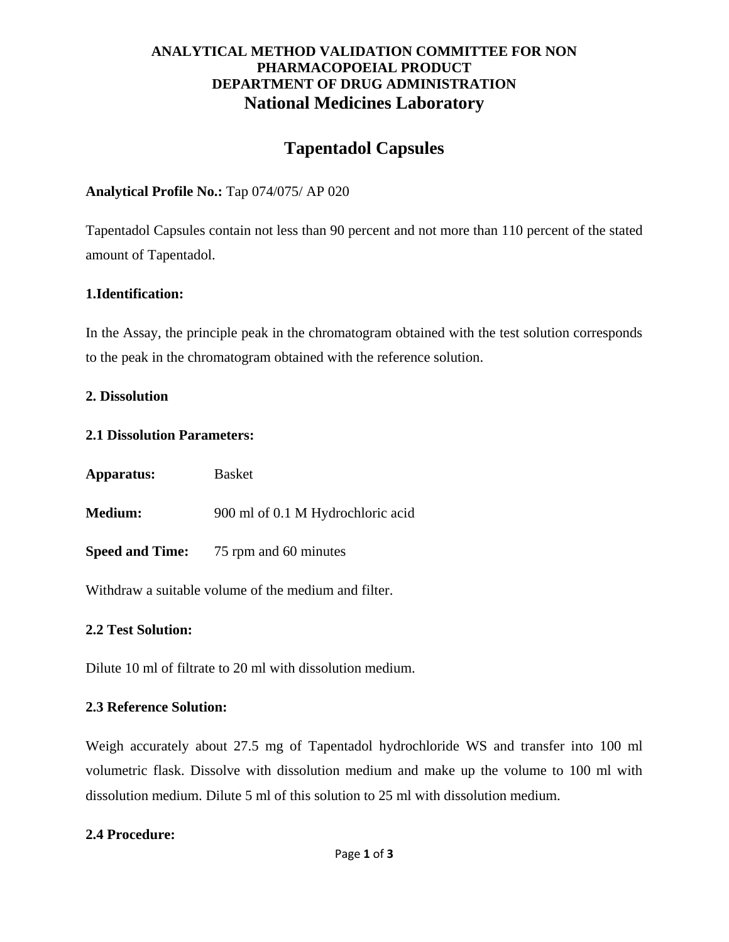# **ANALYTICAL METHOD VALIDATION COMMITTEE FOR NON PHARMACOPOEIAL PRODUCT DEPARTMENT OF DRUG ADMINISTRATION National Medicines Laboratory**

# **Tapentadol Capsules**

## **Analytical Profile No.:** Tap 074/075/ AP 020

Tapentadol Capsules contain not less than 90 percent and not more than 110 percent of the stated amount of Tapentadol.

## **1.Identification:**

In the Assay, the principle peak in the chromatogram obtained with the test solution corresponds to the peak in the chromatogram obtained with the reference solution.

### **2. Dissolution**

#### **2.1 Dissolution Parameters:**

| Apparatus:     | <b>Basket</b>                                |
|----------------|----------------------------------------------|
| <b>Medium:</b> | 900 ml of 0.1 M Hydrochloric acid            |
|                | <b>Speed and Time:</b> 75 rpm and 60 minutes |

Withdraw a suitable volume of the medium and filter.

### **2.2 Test Solution:**

Dilute 10 ml of filtrate to 20 ml with dissolution medium.

### **2.3 Reference Solution:**

Weigh accurately about 27.5 mg of Tapentadol hydrochloride WS and transfer into 100 ml volumetric flask. Dissolve with dissolution medium and make up the volume to 100 ml with dissolution medium. Dilute 5 ml of this solution to 25 ml with dissolution medium.

### **2.4 Procedure:**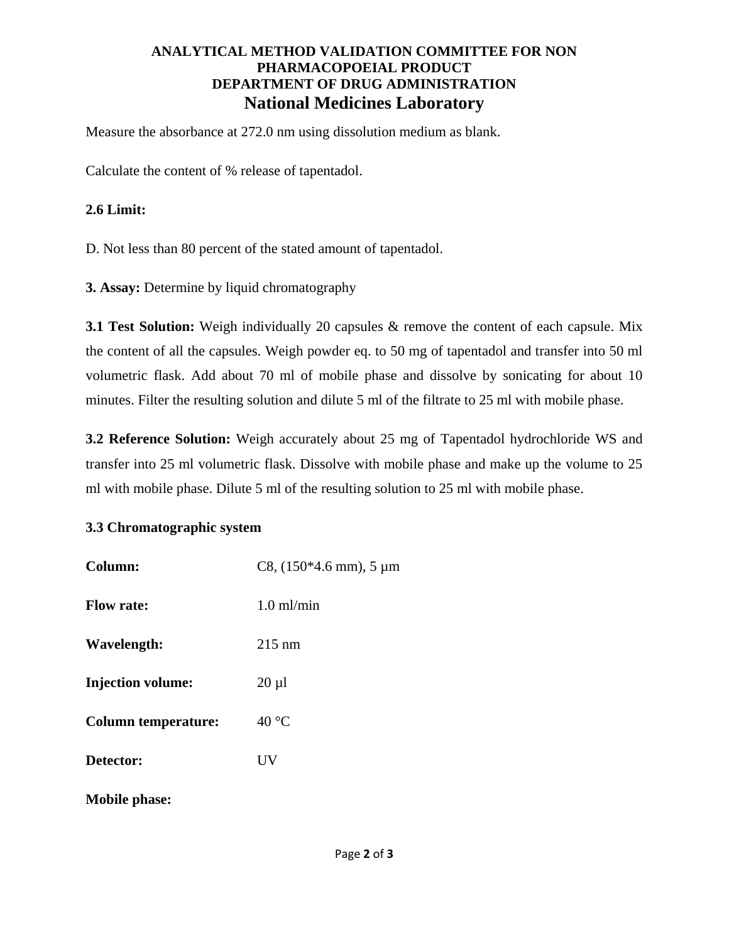# **ANALYTICAL METHOD VALIDATION COMMITTEE FOR NON PHARMACOPOEIAL PRODUCT DEPARTMENT OF DRUG ADMINISTRATION National Medicines Laboratory**

Measure the absorbance at 272.0 nm using dissolution medium as blank.

Calculate the content of % release of tapentadol.

#### **2.6 Limit:**

D. Not less than 80 percent of the stated amount of tapentadol.

**3. Assay:** Determine by liquid chromatography

**3.1 Test Solution:** Weigh individually 20 capsules & remove the content of each capsule. Mix the content of all the capsules. Weigh powder eq. to 50 mg of tapentadol and transfer into 50 ml volumetric flask. Add about 70 ml of mobile phase and dissolve by sonicating for about 10 minutes. Filter the resulting solution and dilute 5 ml of the filtrate to 25 ml with mobile phase.

**3.2 Reference Solution:** Weigh accurately about 25 mg of Tapentadol hydrochloride WS and transfer into 25 ml volumetric flask. Dissolve with mobile phase and make up the volume to 25 ml with mobile phase. Dilute 5 ml of the resulting solution to 25 ml with mobile phase.

### **3.3 Chromatographic system**

| Column:                    | C8, $(150*4.6$ mm), $5 \mu m$ |
|----------------------------|-------------------------------|
| <b>Flow rate:</b>          | $1.0 \text{ ml/min}$          |
| Wavelength:                | $215 \text{ nm}$              |
| <b>Injection volume:</b>   | $20 \mu l$                    |
| <b>Column temperature:</b> | $40^{\circ}$ C                |
| Detector:                  | UV                            |
| <b>Mobile phase:</b>       |                               |